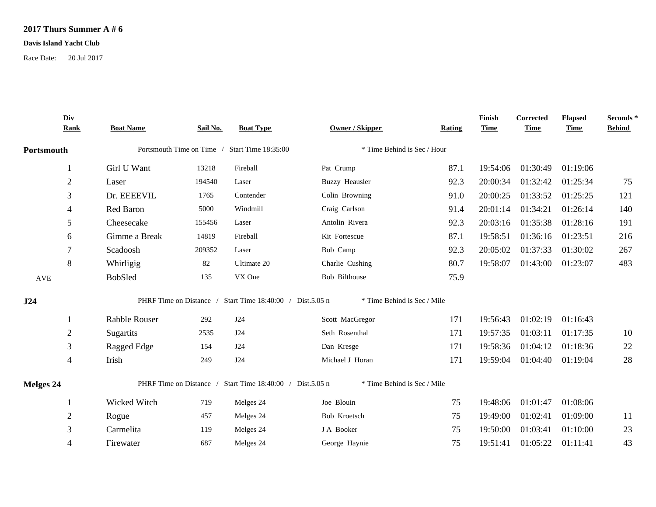## **2017 Thurs Summer A # 6**

## **Davis Island Yacht Club**

Race Date: 20 Jul 2017

|            | Div<br><b>Rank</b> | <b>Boat Name</b>                              | Sail No.                | <b>Boat Type</b>                                          | Owner / Skipper             | Rating | Finish<br><b>Time</b> | Corrected<br><b>Time</b> | <b>Elapsed</b><br><b>Time</b> | Seconds *<br><b>Behind</b> |
|------------|--------------------|-----------------------------------------------|-------------------------|-----------------------------------------------------------|-----------------------------|--------|-----------------------|--------------------------|-------------------------------|----------------------------|
| Portsmouth |                    | Portsmouth Time on Time / Start Time 18:35:00 |                         | * Time Behind is Sec / Hour                               |                             |        |                       |                          |                               |                            |
|            |                    | Girl U Want                                   | 13218                   | Fireball                                                  | Pat Crump                   | 87.1   | 19:54:06              | 01:30:49                 | 01:19:06                      |                            |
|            | $\boldsymbol{2}$   | Laser                                         | 194540                  | Laser                                                     | <b>Buzzy Heausler</b>       | 92.3   | 20:00:34              | 01:32:42                 | 01:25:34                      | 75                         |
|            | 3                  | Dr. EEEEVIL                                   | 1765                    | Contender                                                 | Colin Browning              | 91.0   | 20:00:25              | 01:33:52                 | 01:25:25                      | 121                        |
|            | 4                  | Red Baron                                     | 5000                    | Windmill                                                  | Craig Carlson               | 91.4   | 20:01:14              | 01:34:21                 | 01:26:14                      | 140                        |
|            | 5                  | Cheesecake                                    | 155456                  | Laser                                                     | Antolin Rivera              | 92.3   | 20:03:16              | 01:35:38                 | 01:28:16                      | 191                        |
|            | 6                  | Gimme a Break                                 | 14819                   | Fireball                                                  | Kit Fortescue               | 87.1   | 19:58:51              | 01:36:16                 | 01:23:51                      | 216                        |
|            | 7                  | Scadoosh                                      | 209352                  | Laser                                                     | Bob Camp                    | 92.3   | 20:05:02              | 01:37:33                 | 01:30:02                      | 267                        |
|            | 8                  | Whirligig                                     | 82                      | Ultimate 20                                               | Charlie Cushing             | 80.7   | 19:58:07              | 01:43:00                 | 01:23:07                      | 483                        |
| AVE        |                    | <b>BobSled</b>                                | 135                     | VX One                                                    | Bob Bilthouse               | 75.9   |                       |                          |                               |                            |
| J24        |                    |                                               |                         | PHRF Time on Distance / Start Time 18:40:00 / Dist.5.05 n | * Time Behind is Sec / Mile |        |                       |                          |                               |                            |
|            |                    | Rabble Rouser                                 | 292                     | J24                                                       | Scott MacGregor             | 171    | 19:56:43              | 01:02:19                 | 01:16:43                      |                            |
|            | $\overline{2}$     | Sugartits                                     | 2535                    | J24                                                       | Seth Rosenthal              | 171    | 19:57:35              | 01:03:11                 | 01:17:35                      | 10                         |
|            | 3                  | Ragged Edge                                   | 154                     | J24                                                       | Dan Kresge                  | 171    | 19:58:36              | 01:04:12                 | 01:18:36                      | $22\,$                     |
|            | 4                  | Irish                                         | 249                     | J24                                                       | Michael J Horan             | 171    | 19:59:04              | 01:04:40                 | 01:19:04                      | $28\,$                     |
| Melges 24  |                    |                                               | PHRF Time on Distance / | Start Time 18:40:00 / Dist.5.05 n                         | * Time Behind is Sec / Mile |        |                       |                          |                               |                            |
|            |                    | Wicked Witch                                  | 719                     | Melges 24                                                 | Joe Blouin                  | 75     | 19:48:06              | 01:01:47                 | 01:08:06                      |                            |
|            | 2                  | Rogue                                         | 457                     | Melges 24                                                 | Bob Kroetsch                | 75     | 19:49:00              | 01:02:41                 | 01:09:00                      | 11                         |
|            | 3                  | Carmelita                                     | 119                     | Melges 24                                                 | J A Booker                  | 75     | 19:50:00              | 01:03:41                 | 01:10:00                      | 23                         |
|            | 4                  | Firewater                                     | 687                     | Melges 24                                                 | George Haynie               | 75     | 19:51:41              | 01:05:22                 | 01:11:41                      | 43                         |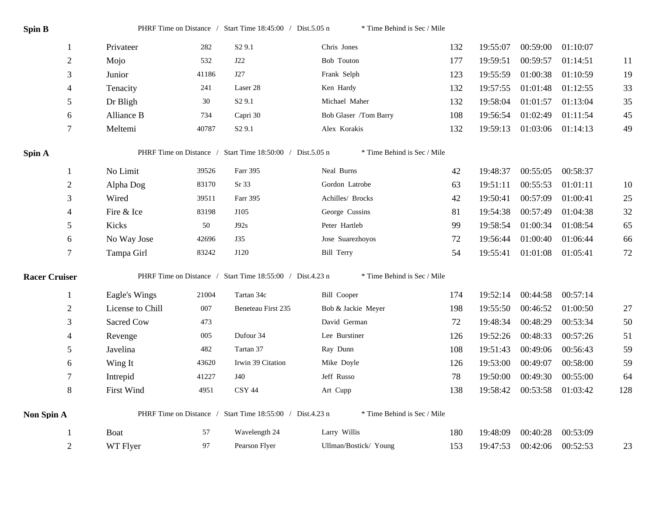| Spin B               |                   |       | PHRF Time on Distance / Start Time 18:45:00 / Dist.5.05 n | * Time Behind is Sec / Mile |     |          |                   |          |        |
|----------------------|-------------------|-------|-----------------------------------------------------------|-----------------------------|-----|----------|-------------------|----------|--------|
| 1                    | Privateer         | 282   | S <sub>2</sub> 9.1                                        | Chris Jones                 | 132 | 19:55:07 | 00:59:00          | 01:10:07 |        |
| $\overline{2}$       | Mojo              | 532   | J22                                                       | <b>Bob Touton</b>           | 177 | 19:59:51 | 00:59:57          | 01:14:51 | 11     |
| 3                    | Junior            | 41186 | J27                                                       | Frank Selph                 | 123 | 19:55:59 | 01:00:38          | 01:10:59 | 19     |
| $\overline{4}$       | Tenacity          | 241   | Laser 28                                                  | Ken Hardy                   | 132 | 19:57:55 | 01:01:48          | 01:12:55 | 33     |
| 5                    | Dr Bligh          | 30    | S <sub>2</sub> 9.1                                        | Michael Maher               | 132 | 19:58:04 | 01:01:57          | 01:13:04 | 35     |
| 6                    | Alliance B        | 734   | Capri 30                                                  | Bob Glaser /Tom Barry       | 108 | 19:56:54 | 01:02:49          | 01:11:54 | 45     |
| $\overline{7}$       | Meltemi           | 40787 | S <sub>2</sub> 9.1                                        | Alex Korakis                | 132 | 19:59:13 | 01:03:06 01:14:13 |          | 49     |
| Spin A               |                   |       | PHRF Time on Distance / Start Time 18:50:00 / Dist.5.05 n | * Time Behind is Sec / Mile |     |          |                   |          |        |
| 1                    | No Limit          | 39526 | Farr 395                                                  | Neal Burns                  | 42  | 19:48:37 | 00:55:05          | 00:58:37 |        |
| $\overline{2}$       | Alpha Dog         | 83170 | Sr 33                                                     | Gordon Latrobe              | 63  | 19:51:11 | 00:55:53          | 01:01:11 | 10     |
| 3                    | Wired             | 39511 | Farr 395                                                  | Achilles/ Brocks            | 42  | 19:50:41 | 00:57:09          | 01:00:41 | 25     |
| 4                    | Fire & Ice        | 83198 | J105                                                      | George Cussins              | 81  | 19:54:38 | 00:57:49          | 01:04:38 | 32     |
| 5                    | Kicks             | 50    | J92s                                                      | Peter Hartleb               | 99  | 19:58:54 | 01:00:34          | 01:08:54 | 65     |
| 6                    | No Way Jose       | 42696 | <b>J35</b>                                                | Jose Suarezhoyos            | 72  | 19:56:44 | 01:00:40          | 01:06:44 | 66     |
| $\tau$               | Tampa Girl        | 83242 | J120                                                      | <b>Bill Terry</b>           | 54  | 19:55:41 | 01:01:08          | 01:05:41 | $72\,$ |
| <b>Racer Cruiser</b> |                   |       | PHRF Time on Distance / Start Time 18:55:00 / Dist.4.23 n | * Time Behind is Sec / Mile |     |          |                   |          |        |
| $\mathbf{1}$         | Eagle's Wings     | 21004 | Tartan 34c                                                | <b>Bill Cooper</b>          | 174 | 19:52:14 | 00:44:58          | 00:57:14 |        |
| $\overline{2}$       | License to Chill  | 007   | Beneteau First 235                                        | Bob & Jackie Meyer          | 198 | 19:55:50 | 00:46:52          | 01:00:50 | $27\,$ |
| 3                    | Sacred Cow        | 473   |                                                           | David German                | 72  | 19:48:34 | 00:48:29          | 00:53:34 | 50     |
| $\overline{4}$       | Revenge           | 005   | Dufour 34                                                 | Lee Burstiner               | 126 | 19:52:26 | 00:48:33          | 00:57:26 | 51     |
| 5                    | Javelina          | 482   | Tartan 37                                                 | Ray Dunn                    | 108 | 19:51:43 | 00:49:06          | 00:56:43 | 59     |
| 6                    | Wing It           | 43620 | Irwin 39 Citation                                         | Mike Doyle                  | 126 | 19:53:00 | 00:49:07          | 00:58:00 | 59     |
| $\tau$               | Intrepid          | 41227 | J40                                                       | Jeff Russo                  | 78  | 19:50:00 | 00:49:30          | 00:55:00 | 64     |
| 8                    | <b>First Wind</b> | 4951  | CSY 44                                                    | Art Cupp                    | 138 | 19:58:42 | 00:53:58          | 01:03:42 | 128    |
| Non Spin A           |                   |       | PHRF Time on Distance / Start Time 18:55:00 / Dist.4.23 n | * Time Behind is Sec / Mile |     |          |                   |          |        |
| 1                    | <b>Boat</b>       | 57    | Wavelength 24                                             | Larry Willis                | 180 | 19:48:09 | 00:40:28          | 00:53:09 |        |
| $\overline{2}$       | WT Flyer          | 97    | Pearson Flyer                                             | Ullman/Bostick/ Young       | 153 | 19:47:53 | 00:42:06          | 00:52:53 | 23     |